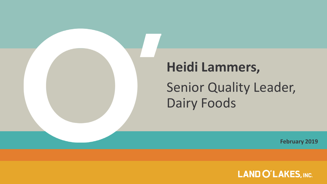

# **Heidi Lammers,**

Dairy Foods Senior Quality Leader,

**February 2019**

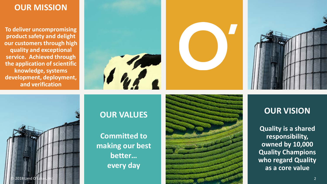#### **OUR MISSION**

**To deliver uncompromising product safety and delight our customers through high quality and exceptional service. Achieved through the application of scientific knowledge, systems development, deployment, and verification**







#### **OUR VALUES**

**Committed to making our best better… every day**



#### **OUR VISION**

**Quality is a shared responsibility, owned by 10,000 Quality Champions who regard Quality as a core value**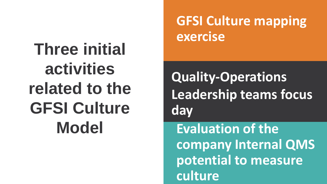**Three initial activities related to the GFSI Culture Model** 

# **GFSI Culture mapping exercise**

**Quality-Operations Leadership teams focus day**

**Evaluation of the company Internal QMS potential to measure culture**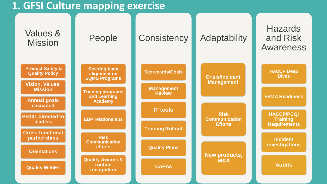## **1. GFSI Culture mapping exercise**

| People                                                       | Consistency                            | Adaptability                                 | <b>Hazards</b><br>and Risk<br>Awareness                     |
|--------------------------------------------------------------|----------------------------------------|----------------------------------------------|-------------------------------------------------------------|
| <b>Steering team</b><br>alignment on<br><b>EQMS Programs</b> | <b>Scorecards/Goals</b>                | <b>Crisis/Incident</b><br><b>Management</b>  | <b>HACCP Deep</b><br><b>Dives</b>                           |
| <b>Training programs</b><br>and Learning                     | <b>Review</b>                          |                                              | <b>FSMA Readiness</b>                                       |
|                                                              | <b>IT tools</b>                        |                                              |                                                             |
| <b>EBP relationships</b>                                     |                                        | <b>Communication</b><br><b>Efforts</b>       | <b>HACCP/PCQI</b><br><b>Training</b><br><b>Requirements</b> |
| <b>Risk</b>                                                  |                                        |                                              | <b>Incident</b>                                             |
| efforts                                                      | <b>Quality Plans</b>                   |                                              | investigations                                              |
| <b>Quality Awards &amp;</b><br>routine<br>recognition        | <b>CAPAS</b>                           | M&A                                          | <b>Audits</b>                                               |
|                                                              | <b>Academy</b><br><b>Communication</b> | <b>Management</b><br><b>Training Rollout</b> | <b>Risk</b><br>New products,                                |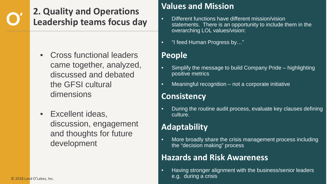## **2. Quality and Operations Leadership teams focus day**

- Cross functional leaders came together, analyzed, discussed and debated the GFSI cultural dimensions
- Excellent ideas, discussion, engagement and thoughts for future development

#### **Values and Mission**

- Different functions have different mission/vision statements. There is an opportunity to include them in the overarching LOL values/vision:
- "I feed Human Progress by..."

#### **People**

- Simplify the message to build Company Pride highlighting positive metrics
- Meaningful recognition not a corporate initiative

#### **Consistency**

• During the routine audit process, evaluate key clauses defining culture.

#### **Adaptability**

• More broadly share the crisis management process including the "decision making" process

#### **Hazards and Risk Awareness**

• Having stronger alignment with the business/senior leaders e.g. during a crisis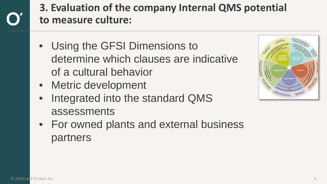# **3. Evaluation of the company Internal QMS potential to measure culture:**

- Using the GFSI Dimensions to determine which clauses are indicative of a cultural behavior
- Metric development
- Integrated into the standard QMS assessments



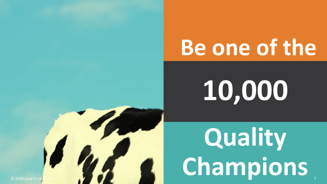# **Be one of the**

**10,000**

**Quality**  Champions

7